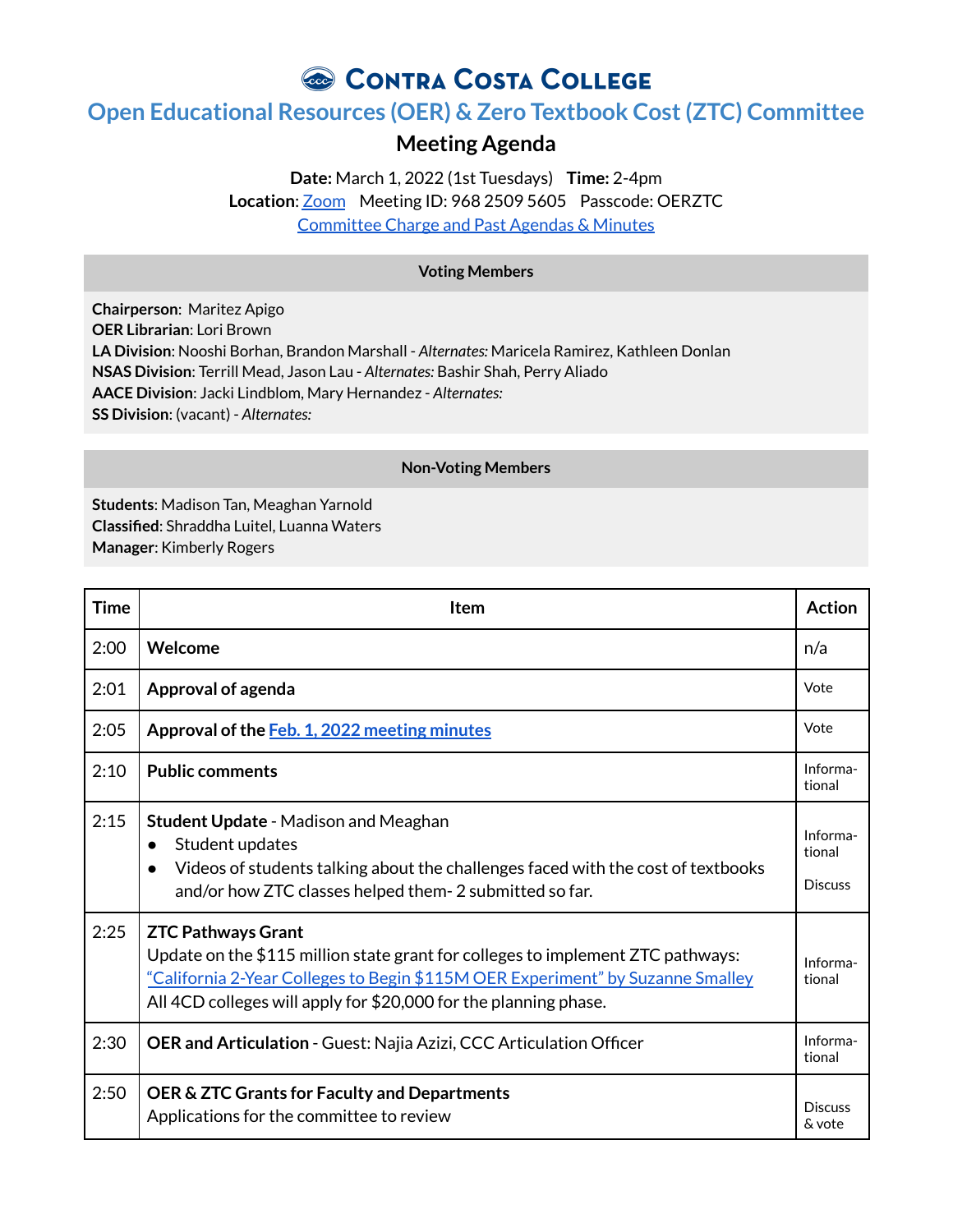CONTRA COSTA COLLEGE

## **Open Educational Resources (OER) & Zero Textbook Cost(ZTC) Committee**

## **Meeting Agenda**

**Date:** March 1, 2022 (1st Tuesdays) **Time:** 2-4pm **Location**: [Zoom](https://4cd.zoom.us/j/96825095605?pwd=ekxnYlZmbWpoWnNnS3JRdnFLQUxUUT09) Meeting ID: 968 2509 5605 Passcode: OERZTC [Committee](https://www.contracosta.edu/about/administration/college-committees/open-educational-resources-oer-and-zero-textbook-cost-ztc-committee/) Charge and Past Agendas & Minutes

## **Voting Members**

**Chairperson**: Maritez Apigo **OER Librarian**: Lori Brown **LA Division**: Nooshi Borhan, Brandon Marshall - *Alternates:* Maricela Ramirez, Kathleen Donlan **NSAS Division**: Terrill Mead, Jason Lau - *Alternates:* Bashir Shah, Perry Aliado **AACE Division**: Jacki Lindblom, Mary Hernandez - *Alternates:* **SS Division**: (vacant) - *Alternates:*

## **Non-Voting Members**

**Students**: Madison Tan, Meaghan Yarnold **Classified**: Shraddha Luitel, Luanna Waters **Manager**: Kimberly Rogers

| <b>Time</b> | <b>Item</b>                                                                                                                                                                                                                                                        | <b>Action</b>                        |
|-------------|--------------------------------------------------------------------------------------------------------------------------------------------------------------------------------------------------------------------------------------------------------------------|--------------------------------------|
| 2:00        | Welcome                                                                                                                                                                                                                                                            | n/a                                  |
| 2:01        | Approval of agenda                                                                                                                                                                                                                                                 | Vote                                 |
| 2:05        | Approval of the Feb. 1, 2022 meeting minutes                                                                                                                                                                                                                       | Vote                                 |
| 2:10        | <b>Public comments</b>                                                                                                                                                                                                                                             | Informa-<br>tional                   |
| 2:15        | <b>Student Update - Madison and Meaghan</b><br>Student updates<br>$\bullet$<br>Videos of students talking about the challenges faced with the cost of textbooks<br>$\bullet$<br>and/or how ZTC classes helped them- 2 submitted so far.                            | Informa-<br>tional<br><b>Discuss</b> |
| 2:25        | <b>ZTC Pathways Grant</b><br>Update on the \$115 million state grant for colleges to implement ZTC pathways:<br>"California 2-Year Colleges to Begin \$115M OER Experiment" by Suzanne Smalley<br>All 4CD colleges will apply for \$20,000 for the planning phase. | Informa-<br>tional                   |
| 2:30        | <b>OER and Articulation - Guest: Najia Azizi, CCC Articulation Officer</b>                                                                                                                                                                                         | Informa-<br>tional                   |
| 2:50        | OER & ZTC Grants for Faculty and Departments<br>Applications for the committee to review                                                                                                                                                                           | <b>Discuss</b><br>& vote             |